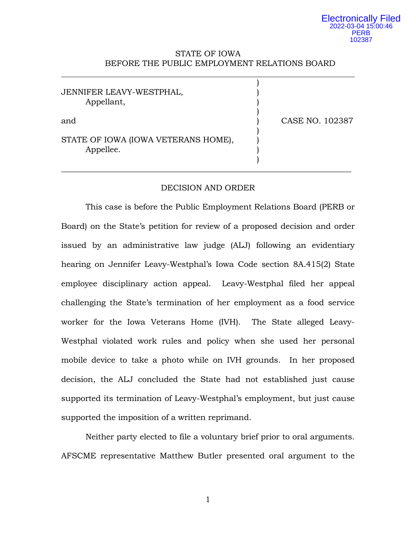# STATE OF IOWA BEFORE THE PUBLIC EMPLOYMENT RELATIONS BOARD

| JENNIFER LEAVY-WESTPHAL,<br>Appellant,           |                 |
|--------------------------------------------------|-----------------|
| and                                              | CASE NO. 102387 |
| STATE OF IOWA (IOWA VETERANS HOME),<br>Appellee. |                 |

# DECISION AND ORDER

This case is before the Public Employment Relations Board (PERB or Board) on the State's petition for review of a proposed decision and order issued by an administrative law judge (ALJ) following an evidentiary hearing on Jennifer Leavy-Westphal's Iowa Code section 8A.415(2) State employee disciplinary action appeal. Leavy-Westphal filed her appeal challenging the State's termination of her employment as a food service worker for the Iowa Veterans Home (IVH). The State alleged Leavy-Westphal violated work rules and policy when she used her personal mobile device to take a photo while on IVH grounds. In her proposed decision, the ALJ concluded the State had not established just cause supported its termination of Leavy-Westphal's employment, but just cause supported the imposition of a written reprimand.

Neither party elected to file a voluntary brief prior to oral arguments. AFSCME representative Matthew Butler presented oral argument to the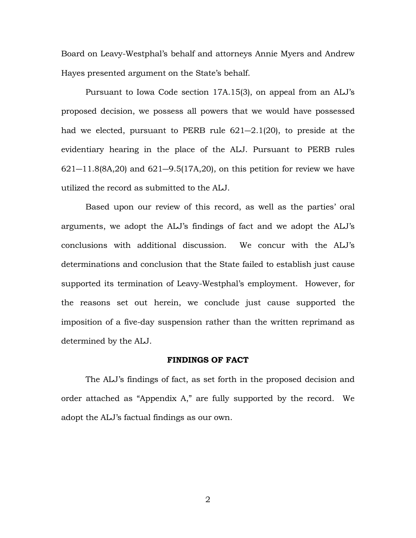Board on Leavy-Westphal's behalf and attorneys Annie Myers and Andrew Hayes presented argument on the State's behalf.

Pursuant to Iowa Code section 17A.15(3), on appeal from an ALJ's proposed decision, we possess all powers that we would have possessed had we elected, pursuant to PERB rule 621―2.1(20), to preside at the evidentiary hearing in the place of the ALJ. Pursuant to PERB rules  $621 - 11.8(8A, 20)$  and  $621 - 9.5(17A, 20)$ , on this petition for review we have utilized the record as submitted to the ALJ.

Based upon our review of this record, as well as the parties' oral arguments, we adopt the ALJ's findings of fact and we adopt the ALJ's conclusions with additional discussion. We concur with the ALJ's determinations and conclusion that the State failed to establish just cause supported its termination of Leavy-Westphal's employment. However, for the reasons set out herein, we conclude just cause supported the imposition of a five-day suspension rather than the written reprimand as determined by the ALJ.

## **FINDINGS OF FACT**

The ALJ's findings of fact, as set forth in the proposed decision and order attached as "Appendix A," are fully supported by the record. We adopt the ALJ's factual findings as our own.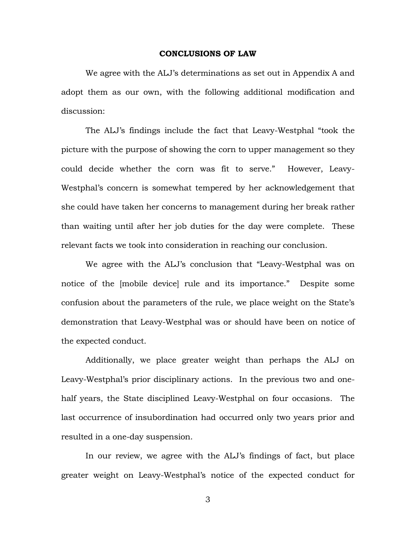#### **CONCLUSIONS OF LAW**

We agree with the ALJ's determinations as set out in Appendix A and adopt them as our own, with the following additional modification and discussion:

The ALJ's findings include the fact that Leavy-Westphal "took the picture with the purpose of showing the corn to upper management so they could decide whether the corn was fit to serve." However, Leavy-Westphal's concern is somewhat tempered by her acknowledgement that she could have taken her concerns to management during her break rather than waiting until after her job duties for the day were complete. These relevant facts we took into consideration in reaching our conclusion.

We agree with the ALJ's conclusion that "Leavy-Westphal was on notice of the [mobile device] rule and its importance." Despite some confusion about the parameters of the rule, we place weight on the State's demonstration that Leavy-Westphal was or should have been on notice of the expected conduct.

Additionally, we place greater weight than perhaps the ALJ on Leavy-Westphal's prior disciplinary actions. In the previous two and onehalf years, the State disciplined Leavy-Westphal on four occasions. The last occurrence of insubordination had occurred only two years prior and resulted in a one-day suspension.

In our review, we agree with the ALJ's findings of fact, but place greater weight on Leavy-Westphal's notice of the expected conduct for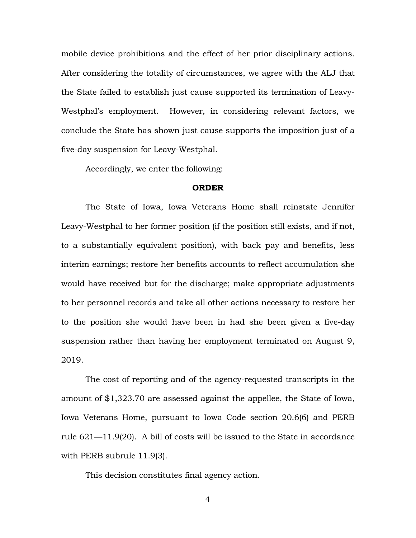mobile device prohibitions and the effect of her prior disciplinary actions. After considering the totality of circumstances, we agree with the ALJ that the State failed to establish just cause supported its termination of Leavy-Westphal's employment. However, in considering relevant factors, we conclude the State has shown just cause supports the imposition just of a five-day suspension for Leavy-Westphal.

Accordingly, we enter the following:

#### **ORDER**

The State of Iowa, Iowa Veterans Home shall reinstate Jennifer Leavy-Westphal to her former position (if the position still exists, and if not, to a substantially equivalent position), with back pay and benefits, less interim earnings; restore her benefits accounts to reflect accumulation she would have received but for the discharge; make appropriate adjustments to her personnel records and take all other actions necessary to restore her to the position she would have been in had she been given a five-day suspension rather than having her employment terminated on August 9, 2019.

The cost of reporting and of the agency-requested transcripts in the amount of \$1,323.70 are assessed against the appellee, the State of Iowa, Iowa Veterans Home, pursuant to Iowa Code section 20.6(6) and PERB rule 621—11.9(20). A bill of costs will be issued to the State in accordance with PERB subrule 11.9(3).

This decision constitutes final agency action.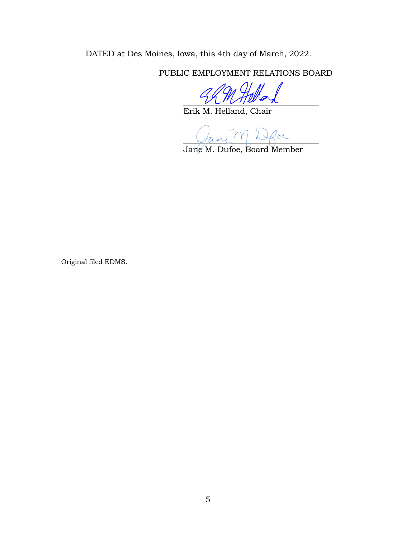DATED at Des Moines, Iowa, this 4th day of March, 2022.

PUBLIC EMPLOYMENT RELATIONS BOARD

 $U\cup U\cup U$ 

Erik M. Helland, Chair

 $\sqrt{2\mu\mu}$  ,  $\sqrt{2\mu}$ 

Jane M. Dufoe, Board Member

Original filed EDMS.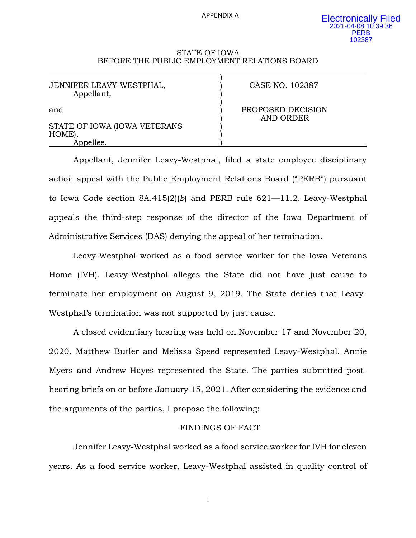APPENDIX A

)

)

### STATE OF IOWA BEFORE THE PUBLIC EMPLOYMENT RELATIONS BOARD

JENNIFER LEAVY-WESTPHAL,  $\overrightarrow{O}$  CASE NO. 102387 Appellant, )

STATE OF IOWA (IOWA VETERANS HOME), Appellee.

and **Example 2** and **PROPOSED DECISION** ) AND ORDER

Appellant, Jennifer Leavy-Westphal, filed a state employee disciplinary action appeal with the Public Employment Relations Board ("PERB") pursuant to Iowa Code section 8A.415(2)(*b*) and PERB rule 621—11.2. Leavy-Westphal appeals the third-step response of the director of the Iowa Department of Administrative Services (DAS) denying the appeal of her termination.

Leavy-Westphal worked as a food service worker for the Iowa Veterans Home (IVH). Leavy-Westphal alleges the State did not have just cause to terminate her employment on August 9, 2019. The State denies that Leavy-Westphal's termination was not supported by just cause.

A closed evidentiary hearing was held on November 17 and November 20, 2020. Matthew Butler and Melissa Speed represented Leavy-Westphal. Annie Myers and Andrew Hayes represented the State. The parties submitted posthearing briefs on or before January 15, 2021. After considering the evidence and the arguments of the parties, I propose the following:

## FINDINGS OF FACT

Jennifer Leavy-Westphal worked as a food service worker for IVH for eleven years. As a food service worker, Leavy-Westphal assisted in quality control of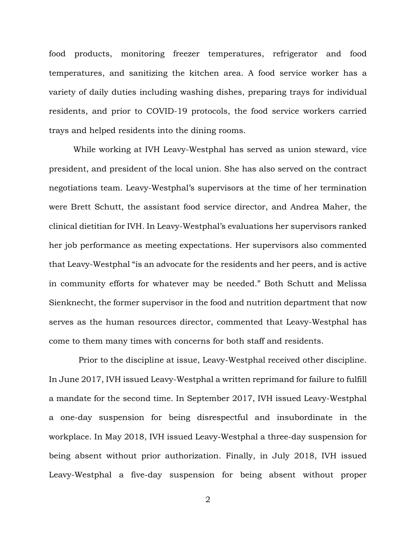food products, monitoring freezer temperatures, refrigerator and food temperatures, and sanitizing the kitchen area. A food service worker has a variety of daily duties including washing dishes, preparing trays for individual residents, and prior to COVID-19 protocols, the food service workers carried trays and helped residents into the dining rooms.

While working at IVH Leavy-Westphal has served as union steward, vice president, and president of the local union. She has also served on the contract negotiations team. Leavy-Westphal's supervisors at the time of her termination were Brett Schutt, the assistant food service director, and Andrea Maher, the clinical dietitian for IVH. In Leavy-Westphal's evaluations her supervisors ranked her job performance as meeting expectations. Her supervisors also commented that Leavy-Westphal "is an advocate for the residents and her peers, and is active in community efforts for whatever may be needed." Both Schutt and Melissa Sienknecht, the former supervisor in the food and nutrition department that now serves as the human resources director, commented that Leavy-Westphal has come to them many times with concerns for both staff and residents.

Prior to the discipline at issue, Leavy-Westphal received other discipline. In June 2017, IVH issued Leavy-Westphal a written reprimand for failure to fulfill a mandate for the second time. In September 2017, IVH issued Leavy-Westphal a one-day suspension for being disrespectful and insubordinate in the workplace. In May 2018, IVH issued Leavy-Westphal a three-day suspension for being absent without prior authorization. Finally, in July 2018, IVH issued Leavy-Westphal a five-day suspension for being absent without proper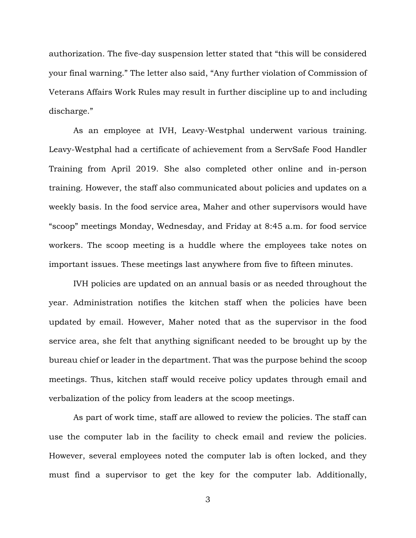authorization. The five-day suspension letter stated that "this will be considered your final warning." The letter also said, "Any further violation of Commission of Veterans Affairs Work Rules may result in further discipline up to and including discharge."

As an employee at IVH, Leavy-Westphal underwent various training. Leavy-Westphal had a certificate of achievement from a ServSafe Food Handler Training from April 2019. She also completed other online and in-person training. However, the staff also communicated about policies and updates on a weekly basis. In the food service area, Maher and other supervisors would have "scoop" meetings Monday, Wednesday, and Friday at 8:45 a.m. for food service workers. The scoop meeting is a huddle where the employees take notes on important issues. These meetings last anywhere from five to fifteen minutes.

IVH policies are updated on an annual basis or as needed throughout the year. Administration notifies the kitchen staff when the policies have been updated by email. However, Maher noted that as the supervisor in the food service area, she felt that anything significant needed to be brought up by the bureau chief or leader in the department. That was the purpose behind the scoop meetings. Thus, kitchen staff would receive policy updates through email and verbalization of the policy from leaders at the scoop meetings.

As part of work time, staff are allowed to review the policies. The staff can use the computer lab in the facility to check email and review the policies. However, several employees noted the computer lab is often locked, and they must find a supervisor to get the key for the computer lab. Additionally,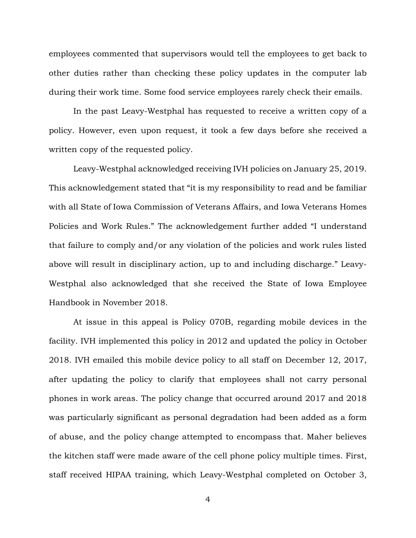employees commented that supervisors would tell the employees to get back to other duties rather than checking these policy updates in the computer lab during their work time. Some food service employees rarely check their emails.

In the past Leavy-Westphal has requested to receive a written copy of a policy. However, even upon request, it took a few days before she received a written copy of the requested policy.

Leavy-Westphal acknowledged receiving IVH policies on January 25, 2019. This acknowledgement stated that "it is my responsibility to read and be familiar with all State of Iowa Commission of Veterans Affairs, and Iowa Veterans Homes Policies and Work Rules." The acknowledgement further added "I understand that failure to comply and/or any violation of the policies and work rules listed above will result in disciplinary action, up to and including discharge." Leavy-Westphal also acknowledged that she received the State of Iowa Employee Handbook in November 2018.

At issue in this appeal is Policy 070B, regarding mobile devices in the facility. IVH implemented this policy in 2012 and updated the policy in October 2018. IVH emailed this mobile device policy to all staff on December 12, 2017, after updating the policy to clarify that employees shall not carry personal phones in work areas. The policy change that occurred around 2017 and 2018 was particularly significant as personal degradation had been added as a form of abuse, and the policy change attempted to encompass that. Maher believes the kitchen staff were made aware of the cell phone policy multiple times. First, staff received HIPAA training, which Leavy-Westphal completed on October 3,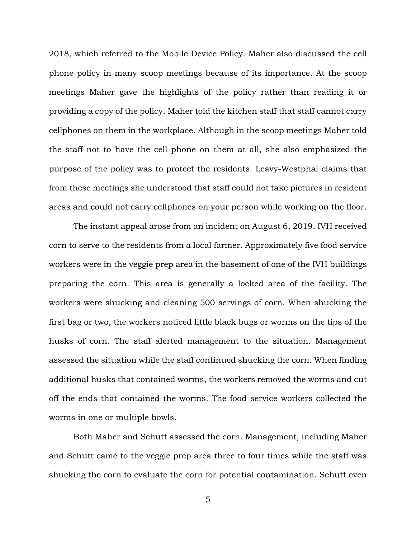2018, which referred to the Mobile Device Policy. Maher also discussed the cell phone policy in many scoop meetings because of its importance. At the scoop meetings Maher gave the highlights of the policy rather than reading it or providing a copy of the policy. Maher told the kitchen staff that staff cannot carry cellphones on them in the workplace. Although in the scoop meetings Maher told the staff not to have the cell phone on them at all, she also emphasized the purpose of the policy was to protect the residents. Leavy-Westphal claims that from these meetings she understood that staff could not take pictures in resident areas and could not carry cellphones on your person while working on the floor.

The instant appeal arose from an incident on August 6, 2019. IVH received corn to serve to the residents from a local farmer. Approximately five food service workers were in the veggie prep area in the basement of one of the IVH buildings preparing the corn. This area is generally a locked area of the facility. The workers were shucking and cleaning 500 servings of corn. When shucking the first bag or two, the workers noticed little black bugs or worms on the tips of the husks of corn. The staff alerted management to the situation. Management assessed the situation while the staff continued shucking the corn. When finding additional husks that contained worms, the workers removed the worms and cut off the ends that contained the worms. The food service workers collected the worms in one or multiple bowls.

Both Maher and Schutt assessed the corn. Management, including Maher and Schutt came to the veggie prep area three to four times while the staff was shucking the corn to evaluate the corn for potential contamination. Schutt even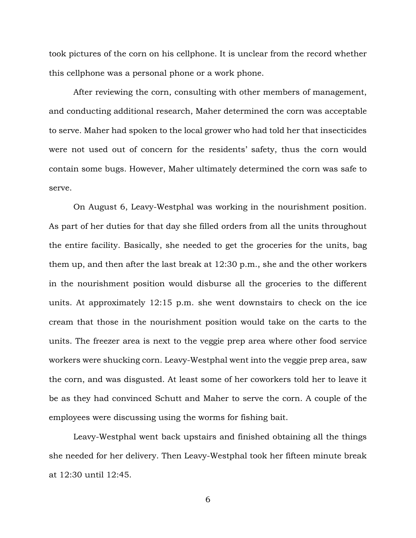took pictures of the corn on his cellphone. It is unclear from the record whether this cellphone was a personal phone or a work phone.

After reviewing the corn, consulting with other members of management, and conducting additional research, Maher determined the corn was acceptable to serve. Maher had spoken to the local grower who had told her that insecticides were not used out of concern for the residents' safety, thus the corn would contain some bugs. However, Maher ultimately determined the corn was safe to serve.

On August 6, Leavy-Westphal was working in the nourishment position. As part of her duties for that day she filled orders from all the units throughout the entire facility. Basically, she needed to get the groceries for the units, bag them up, and then after the last break at 12:30 p.m., she and the other workers in the nourishment position would disburse all the groceries to the different units. At approximately 12:15 p.m. she went downstairs to check on the ice cream that those in the nourishment position would take on the carts to the units. The freezer area is next to the veggie prep area where other food service workers were shucking corn. Leavy-Westphal went into the veggie prep area, saw the corn, and was disgusted. At least some of her coworkers told her to leave it be as they had convinced Schutt and Maher to serve the corn. A couple of the employees were discussing using the worms for fishing bait.

Leavy-Westphal went back upstairs and finished obtaining all the things she needed for her delivery. Then Leavy-Westphal took her fifteen minute break at 12:30 until 12:45.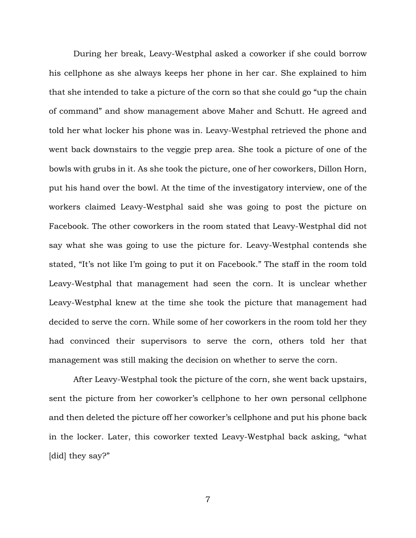During her break, Leavy-Westphal asked a coworker if she could borrow his cellphone as she always keeps her phone in her car. She explained to him that she intended to take a picture of the corn so that she could go "up the chain of command" and show management above Maher and Schutt. He agreed and told her what locker his phone was in. Leavy-Westphal retrieved the phone and went back downstairs to the veggie prep area. She took a picture of one of the bowls with grubs in it. As she took the picture, one of her coworkers, Dillon Horn, put his hand over the bowl. At the time of the investigatory interview, one of the workers claimed Leavy-Westphal said she was going to post the picture on Facebook. The other coworkers in the room stated that Leavy-Westphal did not say what she was going to use the picture for. Leavy-Westphal contends she stated, "It's not like I'm going to put it on Facebook." The staff in the room told Leavy-Westphal that management had seen the corn. It is unclear whether Leavy-Westphal knew at the time she took the picture that management had decided to serve the corn. While some of her coworkers in the room told her they had convinced their supervisors to serve the corn, others told her that management was still making the decision on whether to serve the corn.

After Leavy-Westphal took the picture of the corn, she went back upstairs, sent the picture from her coworker's cellphone to her own personal cellphone and then deleted the picture off her coworker's cellphone and put his phone back in the locker. Later, this coworker texted Leavy-Westphal back asking, "what [did] they say?"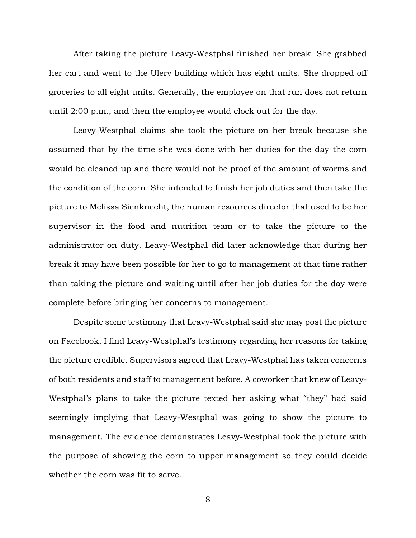After taking the picture Leavy-Westphal finished her break. She grabbed her cart and went to the Ulery building which has eight units. She dropped off groceries to all eight units. Generally, the employee on that run does not return until 2:00 p.m., and then the employee would clock out for the day.

Leavy-Westphal claims she took the picture on her break because she assumed that by the time she was done with her duties for the day the corn would be cleaned up and there would not be proof of the amount of worms and the condition of the corn. She intended to finish her job duties and then take the picture to Melissa Sienknecht, the human resources director that used to be her supervisor in the food and nutrition team or to take the picture to the administrator on duty. Leavy-Westphal did later acknowledge that during her break it may have been possible for her to go to management at that time rather than taking the picture and waiting until after her job duties for the day were complete before bringing her concerns to management.

Despite some testimony that Leavy-Westphal said she may post the picture on Facebook, I find Leavy-Westphal's testimony regarding her reasons for taking the picture credible. Supervisors agreed that Leavy-Westphal has taken concerns of both residents and staff to management before. A coworker that knew of Leavy-Westphal's plans to take the picture texted her asking what "they" had said seemingly implying that Leavy-Westphal was going to show the picture to management. The evidence demonstrates Leavy-Westphal took the picture with the purpose of showing the corn to upper management so they could decide whether the corn was fit to serve.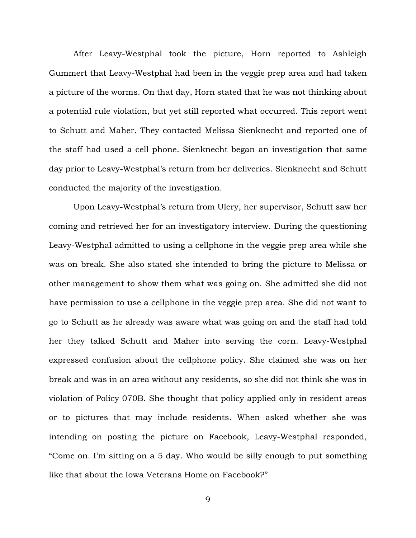After Leavy-Westphal took the picture, Horn reported to Ashleigh Gummert that Leavy-Westphal had been in the veggie prep area and had taken a picture of the worms. On that day, Horn stated that he was not thinking about a potential rule violation, but yet still reported what occurred. This report went to Schutt and Maher. They contacted Melissa Sienknecht and reported one of the staff had used a cell phone. Sienknecht began an investigation that same day prior to Leavy-Westphal's return from her deliveries. Sienknecht and Schutt conducted the majority of the investigation.

Upon Leavy-Westphal's return from Ulery, her supervisor, Schutt saw her coming and retrieved her for an investigatory interview. During the questioning Leavy-Westphal admitted to using a cellphone in the veggie prep area while she was on break. She also stated she intended to bring the picture to Melissa or other management to show them what was going on. She admitted she did not have permission to use a cellphone in the veggie prep area. She did not want to go to Schutt as he already was aware what was going on and the staff had told her they talked Schutt and Maher into serving the corn. Leavy-Westphal expressed confusion about the cellphone policy. She claimed she was on her break and was in an area without any residents, so she did not think she was in violation of Policy 070B. She thought that policy applied only in resident areas or to pictures that may include residents. When asked whether she was intending on posting the picture on Facebook, Leavy-Westphal responded, "Come on. I'm sitting on a 5 day. Who would be silly enough to put something like that about the Iowa Veterans Home on Facebook?"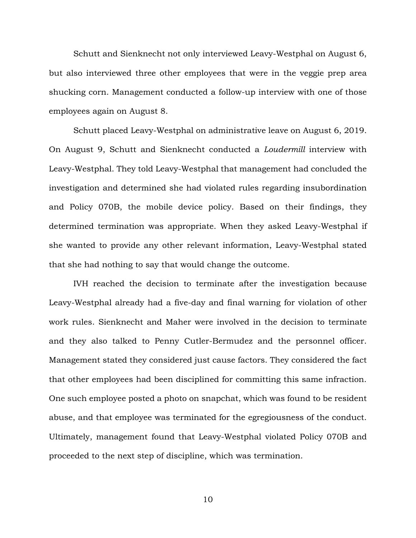Schutt and Sienknecht not only interviewed Leavy-Westphal on August 6, but also interviewed three other employees that were in the veggie prep area shucking corn. Management conducted a follow-up interview with one of those employees again on August 8.

Schutt placed Leavy-Westphal on administrative leave on August 6, 2019. On August 9, Schutt and Sienknecht conducted a *Loudermill* interview with Leavy-Westphal. They told Leavy-Westphal that management had concluded the investigation and determined she had violated rules regarding insubordination and Policy 070B, the mobile device policy. Based on their findings, they determined termination was appropriate. When they asked Leavy-Westphal if she wanted to provide any other relevant information, Leavy-Westphal stated that she had nothing to say that would change the outcome.

IVH reached the decision to terminate after the investigation because Leavy-Westphal already had a five-day and final warning for violation of other work rules. Sienknecht and Maher were involved in the decision to terminate and they also talked to Penny Cutler-Bermudez and the personnel officer. Management stated they considered just cause factors. They considered the fact that other employees had been disciplined for committing this same infraction. One such employee posted a photo on snapchat, which was found to be resident abuse, and that employee was terminated for the egregiousness of the conduct. Ultimately, management found that Leavy-Westphal violated Policy 070B and proceeded to the next step of discipline, which was termination.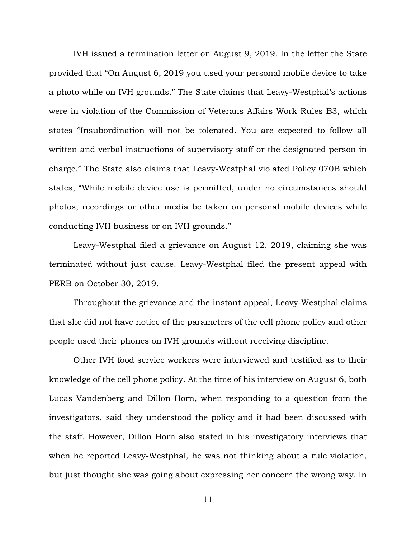IVH issued a termination letter on August 9, 2019. In the letter the State provided that "On August 6, 2019 you used your personal mobile device to take a photo while on IVH grounds." The State claims that Leavy-Westphal's actions were in violation of the Commission of Veterans Affairs Work Rules B3, which states "Insubordination will not be tolerated. You are expected to follow all written and verbal instructions of supervisory staff or the designated person in charge." The State also claims that Leavy-Westphal violated Policy 070B which states, "While mobile device use is permitted, under no circumstances should photos, recordings or other media be taken on personal mobile devices while conducting IVH business or on IVH grounds."

Leavy-Westphal filed a grievance on August 12, 2019, claiming she was terminated without just cause. Leavy-Westphal filed the present appeal with PERB on October 30, 2019.

Throughout the grievance and the instant appeal, Leavy-Westphal claims that she did not have notice of the parameters of the cell phone policy and other people used their phones on IVH grounds without receiving discipline.

Other IVH food service workers were interviewed and testified as to their knowledge of the cell phone policy. At the time of his interview on August 6, both Lucas Vandenberg and Dillon Horn, when responding to a question from the investigators, said they understood the policy and it had been discussed with the staff. However, Dillon Horn also stated in his investigatory interviews that when he reported Leavy-Westphal, he was not thinking about a rule violation, but just thought she was going about expressing her concern the wrong way. In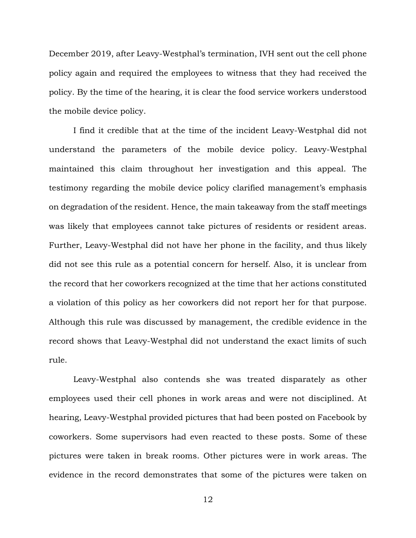December 2019, after Leavy-Westphal's termination, IVH sent out the cell phone policy again and required the employees to witness that they had received the policy. By the time of the hearing, it is clear the food service workers understood the mobile device policy.

I find it credible that at the time of the incident Leavy-Westphal did not understand the parameters of the mobile device policy. Leavy-Westphal maintained this claim throughout her investigation and this appeal. The testimony regarding the mobile device policy clarified management's emphasis on degradation of the resident. Hence, the main takeaway from the staff meetings was likely that employees cannot take pictures of residents or resident areas. Further, Leavy-Westphal did not have her phone in the facility, and thus likely did not see this rule as a potential concern for herself. Also, it is unclear from the record that her coworkers recognized at the time that her actions constituted a violation of this policy as her coworkers did not report her for that purpose. Although this rule was discussed by management, the credible evidence in the record shows that Leavy-Westphal did not understand the exact limits of such rule.

Leavy-Westphal also contends she was treated disparately as other employees used their cell phones in work areas and were not disciplined. At hearing, Leavy-Westphal provided pictures that had been posted on Facebook by coworkers. Some supervisors had even reacted to these posts. Some of these pictures were taken in break rooms. Other pictures were in work areas. The evidence in the record demonstrates that some of the pictures were taken on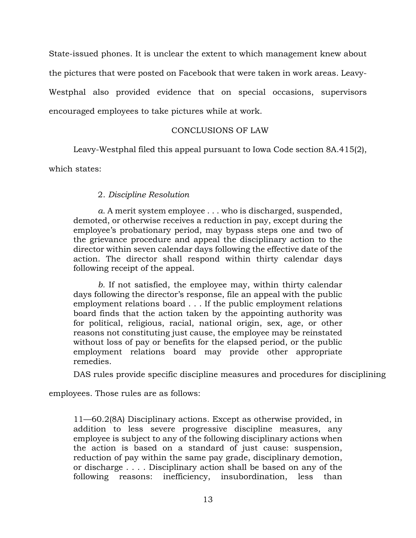State-issued phones. It is unclear the extent to which management knew about the pictures that were posted on Facebook that were taken in work areas. Leavy-Westphal also provided evidence that on special occasions, supervisors encouraged employees to take pictures while at work.

# CONCLUSIONS OF LAW

Leavy-Westphal filed this appeal pursuant to Iowa Code section 8A.415(2),

which states:

# 2. *Discipline Resolution*

*a.* A merit system employee . . . who is discharged, suspended, demoted, or otherwise receives a reduction in pay, except during the employee's probationary period, may bypass steps one and two of the grievance procedure and appeal the disciplinary action to the director within seven calendar days following the effective date of the action. The director shall respond within thirty calendar days following receipt of the appeal.

*b.* If not satisfied, the employee may, within thirty calendar days following the director's response, file an appeal with the public employment relations board . . . If the public employment relations board finds that the action taken by the appointing authority was for political, religious, racial, national origin, sex, age, or other reasons not constituting just cause, the employee may be reinstated without loss of pay or benefits for the elapsed period, or the public employment relations board may provide other appropriate remedies.

DAS rules provide specific discipline measures and procedures for disciplining

employees. Those rules are as follows:

11—60.2(8A) Disciplinary actions. Except as otherwise provided, in addition to less severe progressive discipline measures, any employee is subject to any of the following disciplinary actions when the action is based on a standard of just cause: suspension, reduction of pay within the same pay grade, disciplinary demotion, or discharge . . . . Disciplinary action shall be based on any of the following reasons: inefficiency, insubordination, less than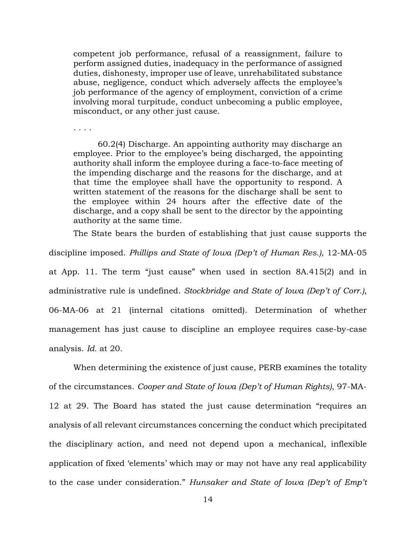competent job performance, refusal of a reassignment, failure to perform assigned duties, inadequacy in the performance of assigned duties, dishonesty, improper use of leave, unrehabilitated substance abuse, negligence, conduct which adversely affects the employee's job performance of the agency of employment, conviction of a crime involving moral turpitude, conduct unbecoming a public employee, misconduct, or any other just cause.

. . . .

60.2(4) Discharge. An appointing authority may discharge an employee. Prior to the employee's being discharged, the appointing authority shall inform the employee during a face-to-face meeting of the impending discharge and the reasons for the discharge, and at that time the employee shall have the opportunity to respond. A written statement of the reasons for the discharge shall be sent to the employee within 24 hours after the effective date of the discharge, and a copy shall be sent to the director by the appointing authority at the same time.

The State bears the burden of establishing that just cause supports the discipline imposed. *Phillips and State of Iowa (Dep't of Human Res.)*, 12-MA-05 at App. 11. The term "just cause" when used in section 8A.415(2) and in administrative rule is undefined. *Stockbridge and State of Iowa (Dep't of Corr.)*, 06-MA-06 at 21 (internal citations omitted). Determination of whether management has just cause to discipline an employee requires case-by-case analysis. *Id.* at 20.

When determining the existence of just cause, PERB examines the totality of the circumstances. *Cooper and State of Iowa (Dep't of Human Rights)*, 97-MA-12 at 29. The Board has stated the just cause determination "requires an analysis of all relevant circumstances concerning the conduct which precipitated the disciplinary action, and need not depend upon a mechanical, inflexible application of fixed 'elements' which may or may not have any real applicability to the case under consideration." *Hunsaker and State of Iowa (Dep't of Emp't*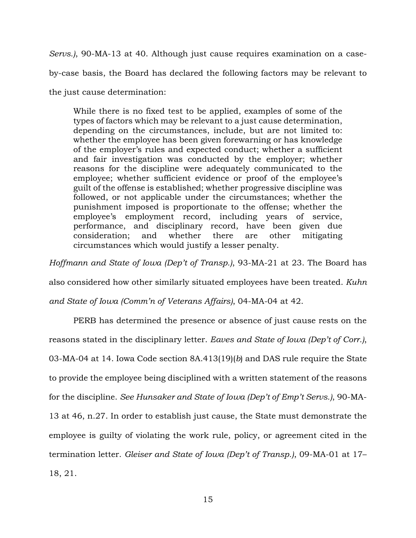*Servs.)*, 90-MA-13 at 40. Although just cause requires examination on a caseby-case basis, the Board has declared the following factors may be relevant to the just cause determination:

While there is no fixed test to be applied, examples of some of the types of factors which may be relevant to a just cause determination, depending on the circumstances, include, but are not limited to: whether the employee has been given forewarning or has knowledge of the employer's rules and expected conduct; whether a sufficient and fair investigation was conducted by the employer; whether reasons for the discipline were adequately communicated to the employee; whether sufficient evidence or proof of the employee's guilt of the offense is established; whether progressive discipline was followed, or not applicable under the circumstances; whether the punishment imposed is proportionate to the offense; whether the employee's employment record, including years of service, performance, and disciplinary record, have been given due consideration; and whether there are other mitigating circumstances which would justify a lesser penalty.

*Hoffmann and State of Iowa (Dep't of Transp.)*, 93-MA-21 at 23. The Board has

also considered how other similarly situated employees have been treated. *Kuhn* 

*and State of Iowa (Comm'n of Veterans Affairs)*, 04-MA-04 at 42.

PERB has determined the presence or absence of just cause rests on the reasons stated in the disciplinary letter. *Eaves and State of Iowa (Dep't of Corr.)*, 03-MA-04 at 14. Iowa Code section 8A.413(19)(*b*) and DAS rule require the State to provide the employee being disciplined with a written statement of the reasons for the discipline. *See Hunsaker and State of Iowa (Dep't of Emp't Servs.)*, 90-MA-13 at 46, n.27. In order to establish just cause, the State must demonstrate the employee is guilty of violating the work rule, policy, or agreement cited in the termination letter. *Gleiser and State of Iowa (Dep't of Transp.)*, 09-MA-01 at 17– 18, 21.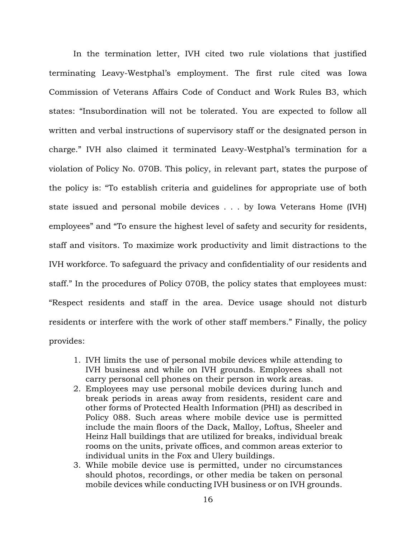In the termination letter, IVH cited two rule violations that justified terminating Leavy-Westphal's employment. The first rule cited was Iowa Commission of Veterans Affairs Code of Conduct and Work Rules B3, which states: "Insubordination will not be tolerated. You are expected to follow all written and verbal instructions of supervisory staff or the designated person in charge." IVH also claimed it terminated Leavy-Westphal's termination for a violation of Policy No. 070B. This policy, in relevant part, states the purpose of the policy is: "To establish criteria and guidelines for appropriate use of both state issued and personal mobile devices . . . by Iowa Veterans Home (IVH) employees" and "To ensure the highest level of safety and security for residents, staff and visitors. To maximize work productivity and limit distractions to the IVH workforce. To safeguard the privacy and confidentiality of our residents and staff." In the procedures of Policy 070B, the policy states that employees must: "Respect residents and staff in the area. Device usage should not disturb residents or interfere with the work of other staff members." Finally, the policy provides:

- 1. IVH limits the use of personal mobile devices while attending to IVH business and while on IVH grounds. Employees shall not carry personal cell phones on their person in work areas.
- 2. Employees may use personal mobile devices during lunch and break periods in areas away from residents, resident care and other forms of Protected Health Information (PHI) as described in Policy 088. Such areas where mobile device use is permitted include the main floors of the Dack, Malloy, Loftus, Sheeler and Heinz Hall buildings that are utilized for breaks, individual break rooms on the units, private offices, and common areas exterior to individual units in the Fox and Ulery buildings.
- 3. While mobile device use is permitted, under no circumstances should photos, recordings, or other media be taken on personal mobile devices while conducting IVH business or on IVH grounds.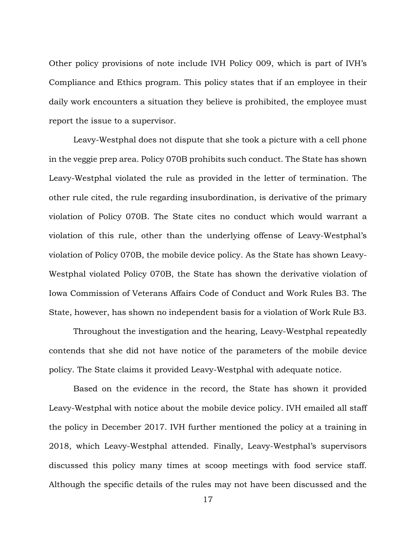Other policy provisions of note include IVH Policy 009, which is part of IVH's Compliance and Ethics program. This policy states that if an employee in their daily work encounters a situation they believe is prohibited, the employee must report the issue to a supervisor.

Leavy-Westphal does not dispute that she took a picture with a cell phone in the veggie prep area. Policy 070B prohibits such conduct. The State has shown Leavy-Westphal violated the rule as provided in the letter of termination. The other rule cited, the rule regarding insubordination, is derivative of the primary violation of Policy 070B. The State cites no conduct which would warrant a violation of this rule, other than the underlying offense of Leavy-Westphal's violation of Policy 070B, the mobile device policy. As the State has shown Leavy-Westphal violated Policy 070B, the State has shown the derivative violation of Iowa Commission of Veterans Affairs Code of Conduct and Work Rules B3. The State, however, has shown no independent basis for a violation of Work Rule B3.

Throughout the investigation and the hearing, Leavy-Westphal repeatedly contends that she did not have notice of the parameters of the mobile device policy. The State claims it provided Leavy-Westphal with adequate notice.

Based on the evidence in the record, the State has shown it provided Leavy-Westphal with notice about the mobile device policy. IVH emailed all staff the policy in December 2017. IVH further mentioned the policy at a training in 2018, which Leavy-Westphal attended. Finally, Leavy-Westphal's supervisors discussed this policy many times at scoop meetings with food service staff. Although the specific details of the rules may not have been discussed and the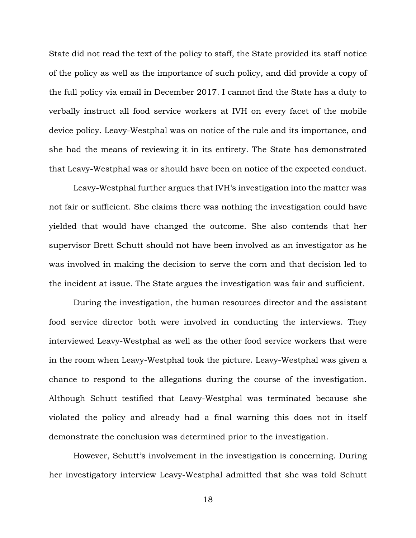State did not read the text of the policy to staff, the State provided its staff notice of the policy as well as the importance of such policy, and did provide a copy of the full policy via email in December 2017. I cannot find the State has a duty to verbally instruct all food service workers at IVH on every facet of the mobile device policy. Leavy-Westphal was on notice of the rule and its importance, and she had the means of reviewing it in its entirety. The State has demonstrated that Leavy-Westphal was or should have been on notice of the expected conduct.

Leavy-Westphal further argues that IVH's investigation into the matter was not fair or sufficient. She claims there was nothing the investigation could have yielded that would have changed the outcome. She also contends that her supervisor Brett Schutt should not have been involved as an investigator as he was involved in making the decision to serve the corn and that decision led to the incident at issue. The State argues the investigation was fair and sufficient.

During the investigation, the human resources director and the assistant food service director both were involved in conducting the interviews. They interviewed Leavy-Westphal as well as the other food service workers that were in the room when Leavy-Westphal took the picture. Leavy-Westphal was given a chance to respond to the allegations during the course of the investigation. Although Schutt testified that Leavy-Westphal was terminated because she violated the policy and already had a final warning this does not in itself demonstrate the conclusion was determined prior to the investigation.

However, Schutt's involvement in the investigation is concerning. During her investigatory interview Leavy-Westphal admitted that she was told Schutt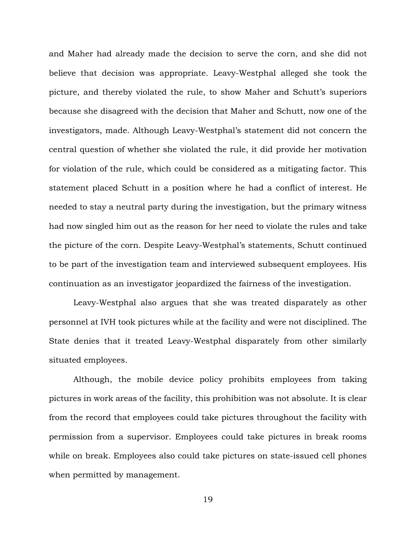and Maher had already made the decision to serve the corn, and she did not believe that decision was appropriate. Leavy-Westphal alleged she took the picture, and thereby violated the rule, to show Maher and Schutt's superiors because she disagreed with the decision that Maher and Schutt, now one of the investigators, made. Although Leavy-Westphal's statement did not concern the central question of whether she violated the rule, it did provide her motivation for violation of the rule, which could be considered as a mitigating factor. This statement placed Schutt in a position where he had a conflict of interest. He needed to stay a neutral party during the investigation, but the primary witness had now singled him out as the reason for her need to violate the rules and take the picture of the corn. Despite Leavy-Westphal's statements, Schutt continued to be part of the investigation team and interviewed subsequent employees. His continuation as an investigator jeopardized the fairness of the investigation.

Leavy-Westphal also argues that she was treated disparately as other personnel at IVH took pictures while at the facility and were not disciplined. The State denies that it treated Leavy-Westphal disparately from other similarly situated employees.

Although, the mobile device policy prohibits employees from taking pictures in work areas of the facility, this prohibition was not absolute. It is clear from the record that employees could take pictures throughout the facility with permission from a supervisor. Employees could take pictures in break rooms while on break. Employees also could take pictures on state-issued cell phones when permitted by management.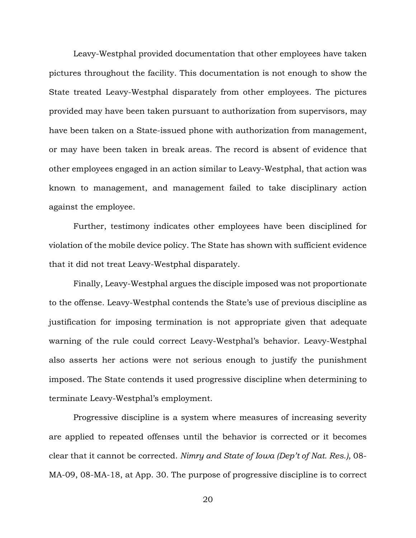Leavy-Westphal provided documentation that other employees have taken pictures throughout the facility. This documentation is not enough to show the State treated Leavy-Westphal disparately from other employees. The pictures provided may have been taken pursuant to authorization from supervisors, may have been taken on a State-issued phone with authorization from management, or may have been taken in break areas. The record is absent of evidence that other employees engaged in an action similar to Leavy-Westphal, that action was known to management, and management failed to take disciplinary action against the employee.

Further, testimony indicates other employees have been disciplined for violation of the mobile device policy. The State has shown with sufficient evidence that it did not treat Leavy-Westphal disparately.

Finally, Leavy-Westphal argues the disciple imposed was not proportionate to the offense. Leavy-Westphal contends the State's use of previous discipline as justification for imposing termination is not appropriate given that adequate warning of the rule could correct Leavy-Westphal's behavior. Leavy-Westphal also asserts her actions were not serious enough to justify the punishment imposed. The State contends it used progressive discipline when determining to terminate Leavy-Westphal's employment.

Progressive discipline is a system where measures of increasing severity are applied to repeated offenses until the behavior is corrected or it becomes clear that it cannot be corrected. *Nimry and State of Iowa (Dep't of Nat. Res.)*, 08- MA-09, 08-MA-18, at App. 30. The purpose of progressive discipline is to correct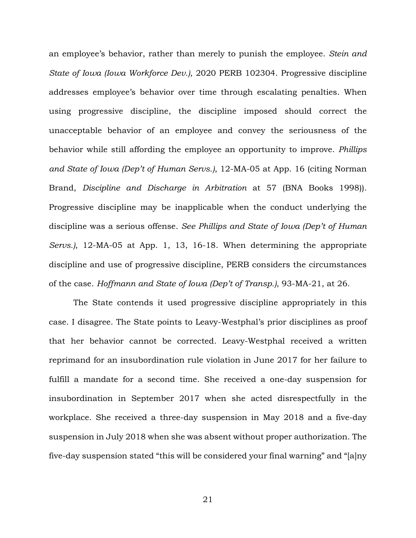an employee's behavior, rather than merely to punish the employee. *Stein and State of Iowa (Iowa Workforce Dev.)*, 2020 PERB 102304. Progressive discipline addresses employee's behavior over time through escalating penalties. When using progressive discipline, the discipline imposed should correct the unacceptable behavior of an employee and convey the seriousness of the behavior while still affording the employee an opportunity to improve. *Phillips and State of Iowa (Dep't of Human Servs.)*, 12-MA-05 at App. 16 (citing Norman Brand, *Discipline and Discharge in Arbitration* at 57 (BNA Books 1998)). Progressive discipline may be inapplicable when the conduct underlying the discipline was a serious offense. *See Phillips and State of Iowa (Dep't of Human Servs.)*, 12-MA-05 at App. 1, 13, 16-18. When determining the appropriate discipline and use of progressive discipline, PERB considers the circumstances of the case. *Hoffmann and State of Iowa (Dep't of Transp.)*, 93-MA-21, at 26.

The State contends it used progressive discipline appropriately in this case. I disagree. The State points to Leavy-Westphal's prior disciplines as proof that her behavior cannot be corrected. Leavy-Westphal received a written reprimand for an insubordination rule violation in June 2017 for her failure to fulfill a mandate for a second time. She received a one-day suspension for insubordination in September 2017 when she acted disrespectfully in the workplace. She received a three-day suspension in May 2018 and a five-day suspension in July 2018 when she was absent without proper authorization. The five-day suspension stated "this will be considered your final warning" and "[a]ny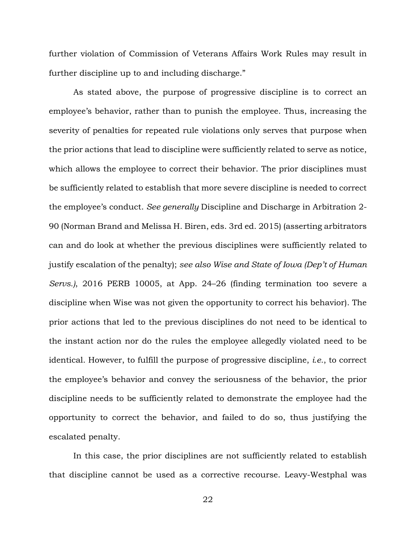further violation of Commission of Veterans Affairs Work Rules may result in further discipline up to and including discharge."

As stated above, the purpose of progressive discipline is to correct an employee's behavior, rather than to punish the employee. Thus, increasing the severity of penalties for repeated rule violations only serves that purpose when the prior actions that lead to discipline were sufficiently related to serve as notice, which allows the employee to correct their behavior. The prior disciplines must be sufficiently related to establish that more severe discipline is needed to correct the employee's conduct. *See generally* Discipline and Discharge in Arbitration 2- 90 (Norman Brand and Melissa H. Biren, eds. 3rd ed. 2015) (asserting arbitrators can and do look at whether the previous disciplines were sufficiently related to justify escalation of the penalty); *see also Wise and State of Iowa (Dep't of Human Servs.)*, 2016 PERB 10005, at App. 24–26 (finding termination too severe a discipline when Wise was not given the opportunity to correct his behavior). The prior actions that led to the previous disciplines do not need to be identical to the instant action nor do the rules the employee allegedly violated need to be identical. However, to fulfill the purpose of progressive discipline, *i.e.*, to correct the employee's behavior and convey the seriousness of the behavior, the prior discipline needs to be sufficiently related to demonstrate the employee had the opportunity to correct the behavior, and failed to do so, thus justifying the escalated penalty.

In this case, the prior disciplines are not sufficiently related to establish that discipline cannot be used as a corrective recourse. Leavy-Westphal was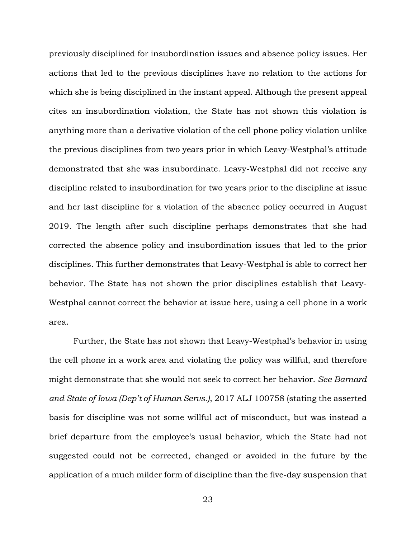previously disciplined for insubordination issues and absence policy issues. Her actions that led to the previous disciplines have no relation to the actions for which she is being disciplined in the instant appeal. Although the present appeal cites an insubordination violation, the State has not shown this violation is anything more than a derivative violation of the cell phone policy violation unlike the previous disciplines from two years prior in which Leavy-Westphal's attitude demonstrated that she was insubordinate. Leavy-Westphal did not receive any discipline related to insubordination for two years prior to the discipline at issue and her last discipline for a violation of the absence policy occurred in August 2019. The length after such discipline perhaps demonstrates that she had corrected the absence policy and insubordination issues that led to the prior disciplines. This further demonstrates that Leavy-Westphal is able to correct her behavior. The State has not shown the prior disciplines establish that Leavy-Westphal cannot correct the behavior at issue here, using a cell phone in a work area.

Further, the State has not shown that Leavy-Westphal's behavior in using the cell phone in a work area and violating the policy was willful, and therefore might demonstrate that she would not seek to correct her behavior. *See Barnard and State of Iowa (Dep't of Human Servs.)*, 2017 ALJ 100758 (stating the asserted basis for discipline was not some willful act of misconduct, but was instead a brief departure from the employee's usual behavior, which the State had not suggested could not be corrected, changed or avoided in the future by the application of a much milder form of discipline than the five-day suspension that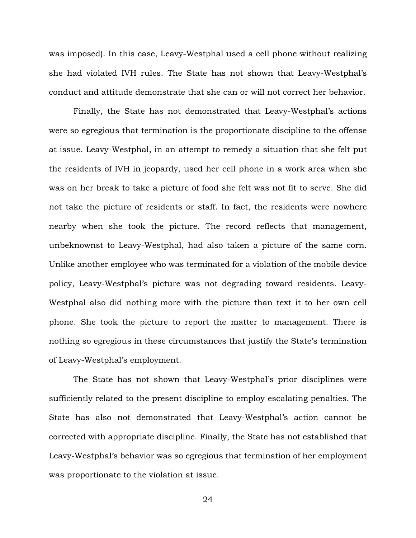was imposed). In this case, Leavy-Westphal used a cell phone without realizing she had violated IVH rules. The State has not shown that Leavy-Westphal's conduct and attitude demonstrate that she can or will not correct her behavior.

Finally, the State has not demonstrated that Leavy-Westphal's actions were so egregious that termination is the proportionate discipline to the offense at issue. Leavy-Westphal, in an attempt to remedy a situation that she felt put the residents of IVH in jeopardy, used her cell phone in a work area when she was on her break to take a picture of food she felt was not fit to serve. She did not take the picture of residents or staff. In fact, the residents were nowhere nearby when she took the picture. The record reflects that management, unbeknownst to Leavy-Westphal, had also taken a picture of the same corn. Unlike another employee who was terminated for a violation of the mobile device policy, Leavy-Westphal's picture was not degrading toward residents. Leavy-Westphal also did nothing more with the picture than text it to her own cell phone. She took the picture to report the matter to management. There is nothing so egregious in these circumstances that justify the State's termination of Leavy-Westphal's employment.

The State has not shown that Leavy-Westphal's prior disciplines were sufficiently related to the present discipline to employ escalating penalties. The State has also not demonstrated that Leavy-Westphal's action cannot be corrected with appropriate discipline. Finally, the State has not established that Leavy-Westphal's behavior was so egregious that termination of her employment was proportionate to the violation at issue.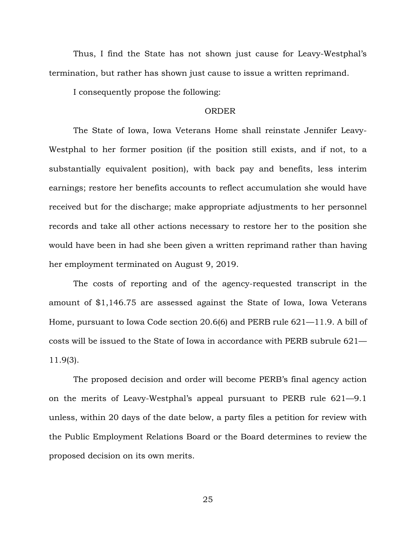Thus, I find the State has not shown just cause for Leavy-Westphal's termination, but rather has shown just cause to issue a written reprimand.

I consequently propose the following:

#### ORDER

The State of Iowa, Iowa Veterans Home shall reinstate Jennifer Leavy-Westphal to her former position (if the position still exists, and if not, to a substantially equivalent position), with back pay and benefits, less interim earnings; restore her benefits accounts to reflect accumulation she would have received but for the discharge; make appropriate adjustments to her personnel records and take all other actions necessary to restore her to the position she would have been in had she been given a written reprimand rather than having her employment terminated on August 9, 2019.

The costs of reporting and of the agency-requested transcript in the amount of \$1,146.75 are assessed against the State of Iowa, Iowa Veterans Home, pursuant to Iowa Code section 20.6(6) and PERB rule 621—11.9. A bill of costs will be issued to the State of Iowa in accordance with PERB subrule 621— 11.9(3).

The proposed decision and order will become PERB's final agency action on the merits of Leavy-Westphal's appeal pursuant to PERB rule 621—9.1 unless, within 20 days of the date below, a party files a petition for review with the Public Employment Relations Board or the Board determines to review the proposed decision on its own merits.